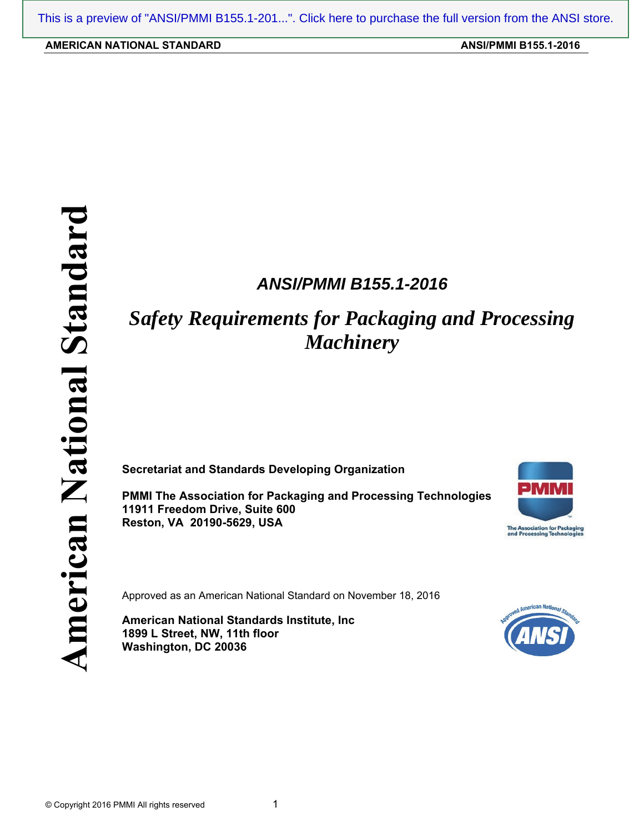# *ANSI/PMMI B155.1-2016*

# *Safety Requirements for Packaging and Processing Machinery*

**Secretariat and Standards Developing Organization** 

**PMMI The Association for Packaging and Processing Technologies 11911 Freedom Drive, Suite 600 Reston, VA 20190-5629, USA** 



Approved as an American National Standard on November 18, 2016

**American National Standards Institute, Inc 1899 L Street, NW, 11th floor Washington, DC 20036**

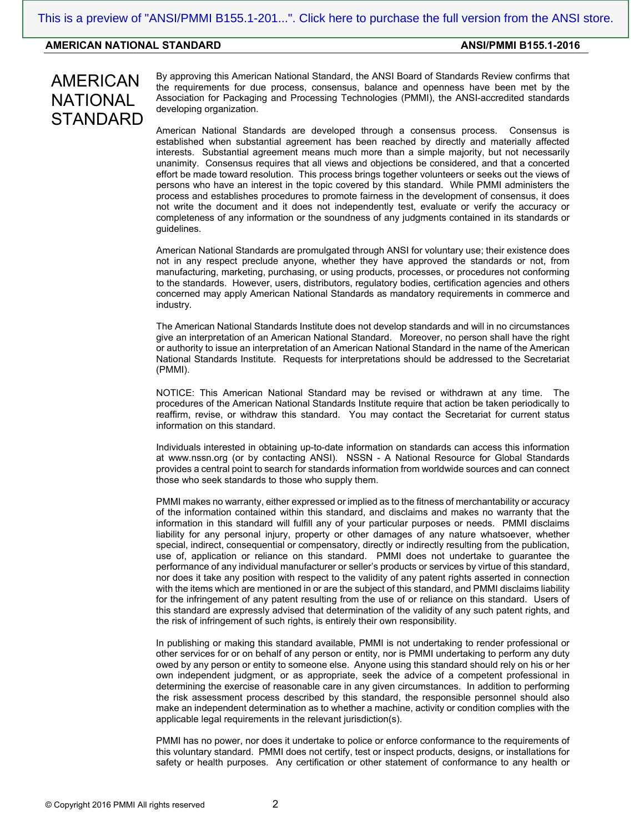## AMERICAN **NATIONAL** STANDARD

By approving this American National Standard, the ANSI Board of Standards Review confirms that the requirements for due process, consensus, balance and openness have been met by the Association for Packaging and Processing Technologies (PMMI), the ANSI-accredited standards developing organization.

American National Standards are developed through a consensus process. Consensus is established when substantial agreement has been reached by directly and materially affected interests. Substantial agreement means much more than a simple majority, but not necessarily unanimity. Consensus requires that all views and objections be considered, and that a concerted effort be made toward resolution. This process brings together volunteers or seeks out the views of persons who have an interest in the topic covered by this standard. While PMMI administers the process and establishes procedures to promote fairness in the development of consensus, it does not write the document and it does not independently test, evaluate or verify the accuracy or completeness of any information or the soundness of any judgments contained in its standards or guidelines.

American National Standards are promulgated through ANSI for voluntary use; their existence does not in any respect preclude anyone, whether they have approved the standards or not, from manufacturing, marketing, purchasing, or using products, processes, or procedures not conforming to the standards. However, users, distributors, regulatory bodies, certification agencies and others concerned may apply American National Standards as mandatory requirements in commerce and industry.

The American National Standards Institute does not develop standards and will in no circumstances give an interpretation of an American National Standard. Moreover, no person shall have the right or authority to issue an interpretation of an American National Standard in the name of the American National Standards Institute. Requests for interpretations should be addressed to the Secretariat (PMMI).

NOTICE: This American National Standard may be revised or withdrawn at any time. The procedures of the American National Standards Institute require that action be taken periodically to reaffirm, revise, or withdraw this standard. You may contact the Secretariat for current status information on this standard.

Individuals interested in obtaining up-to-date information on standards can access this information at www.nssn.org (or by contacting ANSI). NSSN - A National Resource for Global Standards provides a central point to search for standards information from worldwide sources and can connect those who seek standards to those who supply them.

PMMI makes no warranty, either expressed or implied as to the fitness of merchantability or accuracy of the information contained within this standard, and disclaims and makes no warranty that the information in this standard will fulfill any of your particular purposes or needs. PMMI disclaims liability for any personal injury, property or other damages of any nature whatsoever, whether special, indirect, consequential or compensatory, directly or indirectly resulting from the publication, use of, application or reliance on this standard. PMMI does not undertake to guarantee the performance of any individual manufacturer or seller's products or services by virtue of this standard, nor does it take any position with respect to the validity of any patent rights asserted in connection with the items which are mentioned in or are the subject of this standard, and PMMI disclaims liability for the infringement of any patent resulting from the use of or reliance on this standard. Users of this standard are expressly advised that determination of the validity of any such patent rights, and the risk of infringement of such rights, is entirely their own responsibility.

In publishing or making this standard available, PMMI is not undertaking to render professional or other services for or on behalf of any person or entity, nor is PMMI undertaking to perform any duty owed by any person or entity to someone else. Anyone using this standard should rely on his or her own independent judgment, or as appropriate, seek the advice of a competent professional in determining the exercise of reasonable care in any given circumstances. In addition to performing the risk assessment process described by this standard, the responsible personnel should also make an independent determination as to whether a machine, activity or condition complies with the applicable legal requirements in the relevant jurisdiction(s).

PMMI has no power, nor does it undertake to police or enforce conformance to the requirements of this voluntary standard. PMMI does not certify, test or inspect products, designs, or installations for safety or health purposes. Any certification or other statement of conformance to any health or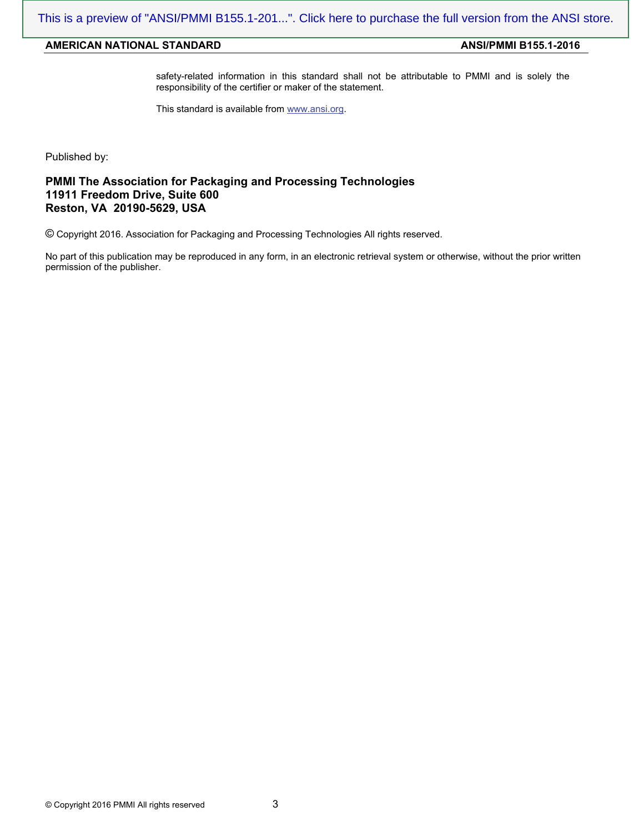safety-related information in this standard shall not be attributable to PMMI and is solely the responsibility of the certifier or maker of the statement.

This standard is available from www.ansi.org.

Published by:

#### **PMMI The Association for Packaging and Processing Technologies 11911 Freedom Drive, Suite 600 Reston, VA 20190-5629, USA**

© Copyright 2016. Association for Packaging and Processing Technologies All rights reserved.

No part of this publication may be reproduced in any form, in an electronic retrieval system or otherwise, without the prior written permission of the publisher.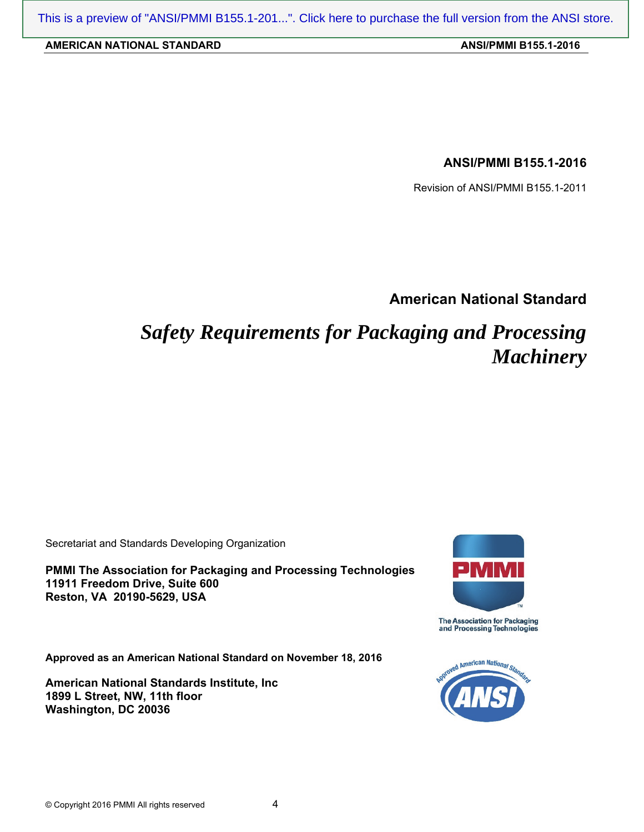**ANSI/PMMI B155.1-2016**

Revision of ANSI/PMMI B155.1-2011

**American National Standard** 

*Safety Requirements for Packaging and Processing Machinery* 

Secretariat and Standards Developing Organization

**PMMI The Association for Packaging and Processing Technologies 11911 Freedom Drive, Suite 600 Reston, VA 20190-5629, USA** 

**Approved as an American National Standard on November 18, 2016** 

**American National Standards Institute, Inc 1899 L Street, NW, 11th floor Washington, DC 20036**



**The Association for Packaging** and Processing Technologies

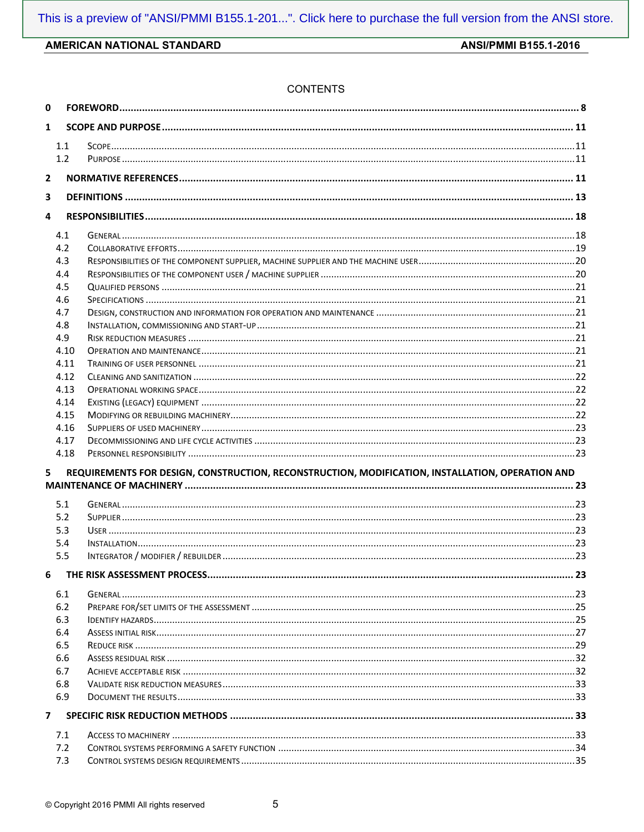#### AMERICAN NATIONAL STANDARD

**ANSI/PMMI B155.1-2016** 

#### **CONTENTS**

| 0              |      |                                                                                                  |  |  |
|----------------|------|--------------------------------------------------------------------------------------------------|--|--|
| 1              |      |                                                                                                  |  |  |
|                | 1.1  |                                                                                                  |  |  |
|                | 1.2  |                                                                                                  |  |  |
| $\overline{2}$ |      |                                                                                                  |  |  |
| 3              |      |                                                                                                  |  |  |
| 4              |      |                                                                                                  |  |  |
|                | 4.1  |                                                                                                  |  |  |
|                | 4.2  |                                                                                                  |  |  |
|                | 4.3  |                                                                                                  |  |  |
|                | 4.4  |                                                                                                  |  |  |
|                | 4.5  |                                                                                                  |  |  |
|                | 4.6  |                                                                                                  |  |  |
|                | 4.7  |                                                                                                  |  |  |
|                | 4.8  |                                                                                                  |  |  |
|                | 4.9  |                                                                                                  |  |  |
|                | 4.10 |                                                                                                  |  |  |
|                | 4.11 |                                                                                                  |  |  |
|                | 4.12 |                                                                                                  |  |  |
|                | 4.13 |                                                                                                  |  |  |
|                | 4.14 |                                                                                                  |  |  |
|                | 4.15 |                                                                                                  |  |  |
|                | 4.16 |                                                                                                  |  |  |
|                | 4.17 |                                                                                                  |  |  |
|                | 4.18 |                                                                                                  |  |  |
| 5              |      | REQUIREMENTS FOR DESIGN, CONSTRUCTION, RECONSTRUCTION, MODIFICATION, INSTALLATION, OPERATION AND |  |  |
|                |      |                                                                                                  |  |  |
|                | 5.1  |                                                                                                  |  |  |
|                | 5.2  |                                                                                                  |  |  |
|                | 5.3  |                                                                                                  |  |  |
|                | 5.4  |                                                                                                  |  |  |
|                | 5.5  |                                                                                                  |  |  |
| 6              |      |                                                                                                  |  |  |
|                | 6.1  |                                                                                                  |  |  |
|                | 6.2  |                                                                                                  |  |  |
|                | 6.3  |                                                                                                  |  |  |
|                | 6.4  |                                                                                                  |  |  |
|                | 6.5  |                                                                                                  |  |  |
|                | 6.6  |                                                                                                  |  |  |
|                | 6.7  |                                                                                                  |  |  |
|                | 6.8  |                                                                                                  |  |  |
|                | 6.9  |                                                                                                  |  |  |
| $\overline{ }$ |      |                                                                                                  |  |  |
|                | 7.1  |                                                                                                  |  |  |
|                | 7.2  |                                                                                                  |  |  |
|                | 7.3  |                                                                                                  |  |  |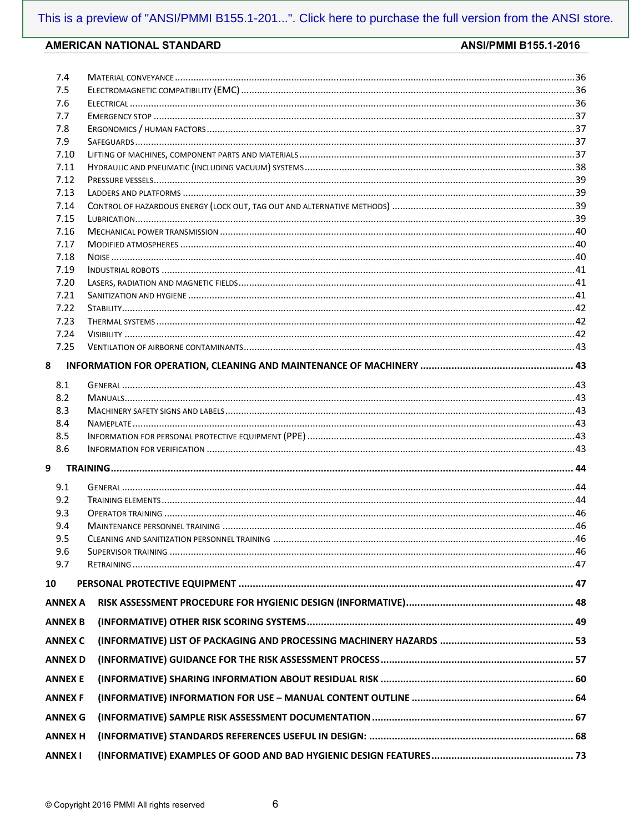### AMERICAN NATIONAL STANDARD

#### **ANSI/PMMI B155.1-2016**

| 7.4            |  |
|----------------|--|
| 7.5            |  |
| 7.6            |  |
| 7.7            |  |
| 7.8            |  |
| 7.9            |  |
| 7.10           |  |
| 7.11           |  |
| 7.12           |  |
| 7.13           |  |
| 7.14           |  |
| 7.15           |  |
| 7.16           |  |
| 7.17           |  |
| 7.18           |  |
| 7.19           |  |
| 7.20           |  |
| 7.21           |  |
| 7.22           |  |
| 7.23           |  |
| 7.24           |  |
| 7.25           |  |
| 8              |  |
| 8.1            |  |
| 8.2            |  |
| 8.3            |  |
| 8.4            |  |
| 8.5            |  |
| 8.6            |  |
| 9              |  |
| 9.1            |  |
| 9.2            |  |
| 9.3            |  |
| 9.4            |  |
| 9.5            |  |
| 9.6            |  |
| 9.7            |  |
|                |  |
| 10             |  |
| <b>ANNEX A</b> |  |
| <b>ANNEX B</b> |  |
| <b>ANNEX C</b> |  |
| <b>ANNEX D</b> |  |
| <b>ANNEX E</b> |  |
| <b>ANNEX F</b> |  |
| <b>ANNEX G</b> |  |
| <b>ANNEX H</b> |  |
|                |  |
| <b>ANNEX I</b> |  |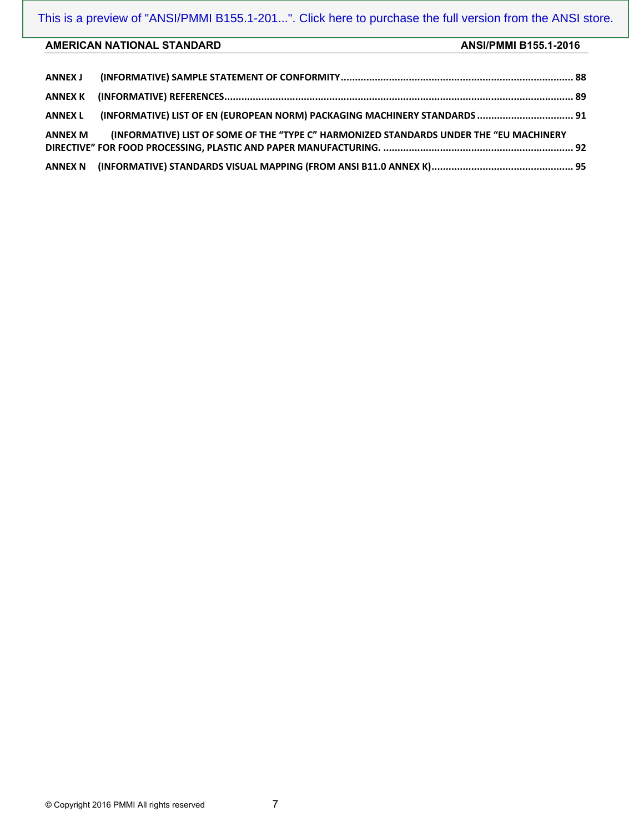| <b>ANNEX J</b> |                                                                                         |  |
|----------------|-----------------------------------------------------------------------------------------|--|
| ANNEX K        |                                                                                         |  |
| <b>ANNEX L</b> | (INFORMATIVE) LIST OF EN (EUROPEAN NORM) PACKAGING MACHINERY STANDARDS  91              |  |
| ANNEX M        | (INFORMATIVE) LIST OF SOME OF THE "TYPE C" HARMONIZED STANDARDS UNDER THE "EU MACHINERY |  |
| ANNEX N        |                                                                                         |  |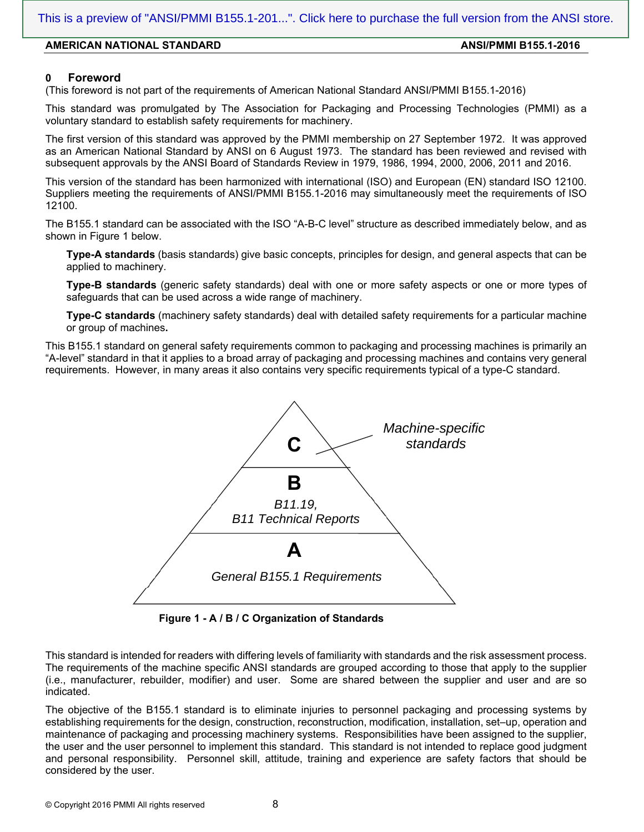#### **0 Foreword**

(This foreword is not part of the requirements of American National Standard ANSI/PMMI B155.1-2016)

This standard was promulgated by The Association for Packaging and Processing Technologies (PMMI) as a voluntary standard to establish safety requirements for machinery.

The first version of this standard was approved by the PMMI membership on 27 September 1972. It was approved as an American National Standard by ANSI on 6 August 1973. The standard has been reviewed and revised with subsequent approvals by the ANSI Board of Standards Review in 1979, 1986, 1994, 2000, 2006, 2011 and 2016.

This version of the standard has been harmonized with international (ISO) and European (EN) standard ISO 12100. Suppliers meeting the requirements of ANSI/PMMI B155.1-2016 may simultaneously meet the requirements of ISO 12100.

The B155.1 standard can be associated with the ISO "A-B-C level" structure as described immediately below, and as shown in Figure 1 below.

**Type-A standards** (basis standards) give basic concepts, principles for design, and general aspects that can be applied to machinery.

**Type-B standards** (generic safety standards) deal with one or more safety aspects or one or more types of safeguards that can be used across a wide range of machinery.

**Type-C standards** (machinery safety standards) deal with detailed safety requirements for a particular machine or group of machines**.**

This B155.1 standard on general safety requirements common to packaging and processing machines is primarily an "A-level" standard in that it applies to a broad array of packaging and processing machines and contains very general requirements. However, in many areas it also contains very specific requirements typical of a type-C standard.



**Figure 1 - A / B / C Organization of Standards** 

This standard is intended for readers with differing levels of familiarity with standards and the risk assessment process. The requirements of the machine specific ANSI standards are grouped according to those that apply to the supplier (i.e., manufacturer, rebuilder, modifier) and user. Some are shared between the supplier and user and are so indicated.

The objective of the B155.1 standard is to eliminate injuries to personnel packaging and processing systems by establishing requirements for the design, construction, reconstruction, modification, installation, set–up, operation and maintenance of packaging and processing machinery systems. Responsibilities have been assigned to the supplier, the user and the user personnel to implement this standard. This standard is not intended to replace good judgment and personal responsibility. Personnel skill, attitude, training and experience are safety factors that should be considered by the user.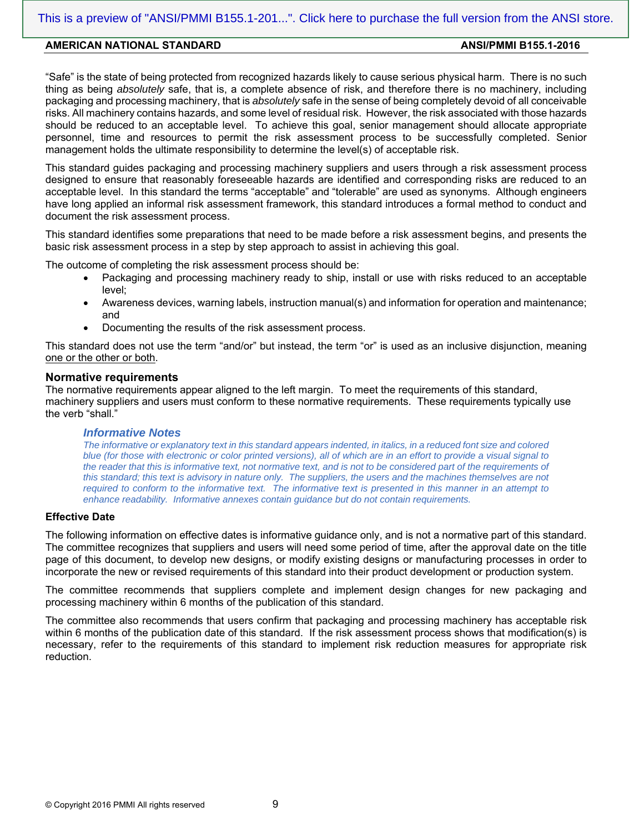"Safe" is the state of being protected from recognized hazards likely to cause serious physical harm. There is no such thing as being *absolutely* safe, that is, a complete absence of risk, and therefore there is no machinery, including packaging and processing machinery, that is *absolutely* safe in the sense of being completely devoid of all conceivable risks. All machinery contains hazards, and some level of residual risk. However, the risk associated with those hazards should be reduced to an acceptable level. To achieve this goal, senior management should allocate appropriate personnel, time and resources to permit the risk assessment process to be successfully completed. Senior management holds the ultimate responsibility to determine the level(s) of acceptable risk.

This standard guides packaging and processing machinery suppliers and users through a risk assessment process designed to ensure that reasonably foreseeable hazards are identified and corresponding risks are reduced to an acceptable level. In this standard the terms "acceptable" and "tolerable" are used as synonyms. Although engineers have long applied an informal risk assessment framework, this standard introduces a formal method to conduct and document the risk assessment process.

This standard identifies some preparations that need to be made before a risk assessment begins, and presents the basic risk assessment process in a step by step approach to assist in achieving this goal.

The outcome of completing the risk assessment process should be:

- Packaging and processing machinery ready to ship, install or use with risks reduced to an acceptable level;
- Awareness devices, warning labels, instruction manual(s) and information for operation and maintenance; and
- Documenting the results of the risk assessment process.

This standard does not use the term "and/or" but instead, the term "or" is used as an inclusive disjunction, meaning one or the other or both.

#### **Normative requirements**

The normative requirements appear aligned to the left margin. To meet the requirements of this standard, machinery suppliers and users must conform to these normative requirements. These requirements typically use the verb "shall."

#### *Informative Notes*

*The informative or explanatory text in this standard appears indented, in italics, in a reduced font size and colored blue (for those with electronic or color printed versions), all of which are in an effort to provide a visual signal to*  the reader that this is informative text, not normative text, and is not to be considered part of the requirements of this standard; this text is advisory in nature only. The suppliers, the users and the machines themselves are not *required to conform to the informative text. The informative text is presented in this manner in an attempt to enhance readability. Informative annexes contain guidance but do not contain requirements.* 

#### **Effective Date**

The following information on effective dates is informative guidance only, and is not a normative part of this standard. The committee recognizes that suppliers and users will need some period of time, after the approval date on the title page of this document, to develop new designs, or modify existing designs or manufacturing processes in order to incorporate the new or revised requirements of this standard into their product development or production system.

The committee recommends that suppliers complete and implement design changes for new packaging and processing machinery within 6 months of the publication of this standard.

The committee also recommends that users confirm that packaging and processing machinery has acceptable risk within 6 months of the publication date of this standard. If the risk assessment process shows that modification(s) is necessary, refer to the requirements of this standard to implement risk reduction measures for appropriate risk reduction.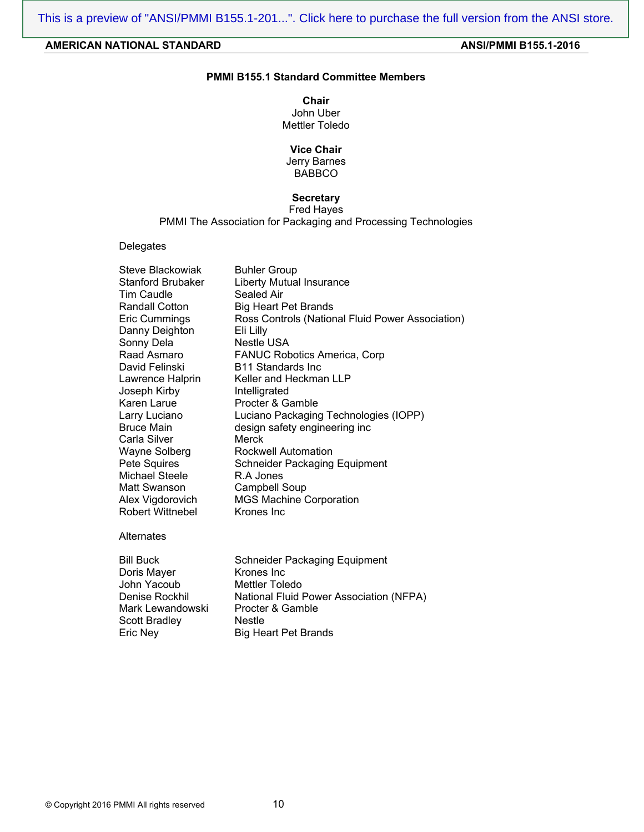#### AMERICAN NATIONAL STANDARD **AMERICAN NATIONAL STANDARD ANSI/PMMI B155.1-2016**

#### **PMMI B155.1 Standard Committee Members**

**Chair**  John Uber Mettler Toledo

#### **Vice Chair**

Jerry Barnes BABBCO

#### **Secretary**

Fred Hayes PMMI The Association for Packaging and Processing Technologies

#### Delegates

| Steve Blackowiak<br><b>Stanford Brubaker</b><br><b>Tim Caudle</b><br><b>Randall Cotton</b><br>Eric Cummings<br>Danny Deighton<br>Sonny Dela<br>Raad Asmaro<br>David Felinski<br>Lawrence Halprin<br>Joseph Kirby<br>Karen Larue<br>Larry Luciano<br><b>Bruce Main</b><br>Carla Silver<br>Wayne Solberg<br>Pete Squires<br><b>Michael Steele</b><br>Matt Swanson<br>Alex Vigdorovich<br><b>Robert Wittnebel</b><br>Alternates | <b>Buhler Group</b><br><b>Liberty Mutual Insurance</b><br>Sealed Air<br><b>Big Heart Pet Brands</b><br>Ross Controls (National Fluid Power Association)<br>Eli Lilly<br><b>Nestle USA</b><br>FANUC Robotics America, Corp<br><b>B11 Standards Inc</b><br>Keller and Heckman LLP<br>Intelligrated<br>Procter & Gamble<br>Luciano Packaging Technologies (IOPP)<br>design safety engineering inc<br>Merck<br><b>Rockwell Automation</b><br><b>Schneider Packaging Equipment</b><br>R.A Jones<br><b>Campbell Soup</b><br><b>MGS Machine Corporation</b><br>Krones Inc |
|------------------------------------------------------------------------------------------------------------------------------------------------------------------------------------------------------------------------------------------------------------------------------------------------------------------------------------------------------------------------------------------------------------------------------|--------------------------------------------------------------------------------------------------------------------------------------------------------------------------------------------------------------------------------------------------------------------------------------------------------------------------------------------------------------------------------------------------------------------------------------------------------------------------------------------------------------------------------------------------------------------|
| <b>Bill Buck</b>                                                                                                                                                                                                                                                                                                                                                                                                             | <b>Schneider Packaging Equipment</b>                                                                                                                                                                                                                                                                                                                                                                                                                                                                                                                               |
| Doris Mayer                                                                                                                                                                                                                                                                                                                                                                                                                  | Krones Inc                                                                                                                                                                                                                                                                                                                                                                                                                                                                                                                                                         |
| John Yacoub                                                                                                                                                                                                                                                                                                                                                                                                                  | <b>Mettler Toledo</b>                                                                                                                                                                                                                                                                                                                                                                                                                                                                                                                                              |
| Denise Rockhil                                                                                                                                                                                                                                                                                                                                                                                                               | National Fluid Power Association (NFPA)                                                                                                                                                                                                                                                                                                                                                                                                                                                                                                                            |
| Mark Lewandowski                                                                                                                                                                                                                                                                                                                                                                                                             | Procter & Gamble                                                                                                                                                                                                                                                                                                                                                                                                                                                                                                                                                   |
| Scott Bradley                                                                                                                                                                                                                                                                                                                                                                                                                | <b>Nestle</b>                                                                                                                                                                                                                                                                                                                                                                                                                                                                                                                                                      |

© Copyright 2016 PMMI All rights reserved 10

Eric Ney Big Heart Pet Brands